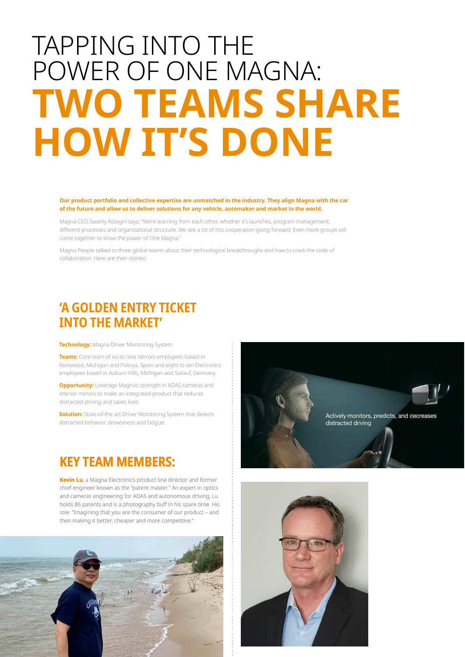# **TAPPING INTO THE** POWER OF ONE MAGNA: **TWO TEAMS SHARE HOW IT'S DONE**

# Our product portfolio and collective expertise are unmatched in the industry. They align Magna with the car of the future and allow us to deliver solutions for any vehicle, automaker and market in the world.

Magna CEO Swamy Kotagiri says: "We're learning from each other, whether it's launches, program management, different processes and organizational structure. We see a lot of this cooperation going forward. Even more groups will come together to show the power of One Magna."

Magna People talked to three global teams about their technological breakthroughs and how to crack the code of collaboration. Here are their stories:

# 'A GOLDEN ENTRY TICKET **INTO THE MARKET'**

Technology: Magna Driver Monitoring System

Teams: Core team of six to nine Mirrors employees based in Kentwood, Michigan and Polinya, Spain and eight to ten Electronics employees based in Auburn Hills, Michigan and Sailauf, Germany

**Opportunity:** Leverage Magna's strength in ADAS cameras and interior mirrors to make an integrated product that reduces distracted driving and saves lives.

**Solution:** State-of-the art Driver Monitoring System that detects distracted behavior, drowsiness and fatigue.

# **KEY TEAM MEMBERS:**

Kevin Lu, a Magna Electronics product line director and former chief engineer known as the "patent master." An expert in optics and cameras engineering for ADAS and autonomous driving, Lu holds 86 patents and is a photography buff in his spare time. His role: "Imagining that you are the consumer of our product - and then making it better, cheaper and more competitive.'





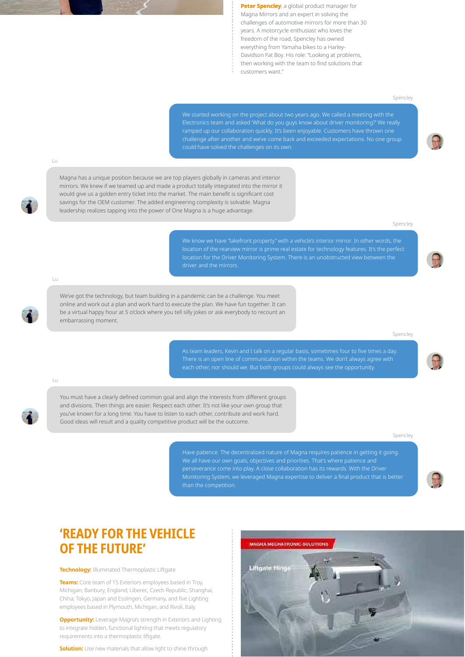Peter Spencley, a global product manager for Magna Mirrors and an expert in solving the challenges of automotive mirrors for more than 30 years. A motorcycle enthusiast who loves the freedom of the road, Spencley has owned everything from Yamaha bikes to a Harley-Davidson Fat Boy. His role: "Looking at problems, then working with the team to find solutions that customers want."

### Spencley

could have solved the challenges on its own.

 $\pm$ 

Magna has a unique position because we are top players globally in cameras and interior mirrors. We knew if we teamed up and made a product totally integrated into the mirror it would give us a golden entry ticket into the market. The main benefit is significant cost savings for the OEM customer. The added engineering complexity is solvable. Magna leadership realizes tapping into the power of One Magna is a huge advantage.

### Spencley

location of the rearview mirror is prime real estate for technology features. It's the perfect location for the Driver Monitoring System. There is an unobstructed view between the

 $\pm$ 

We've got the technology, but team building in a pandemic can be a challenge. You meet online and work out a plan and work hard to execute the plan. We have fun together. It can be a virtual happy hour at 5 o'clock where you tell silly jokes or ask everybody to recount an embarrassing moment.

### Spencley

each other, nor should we. But both groups could always see the opportunity.

#### Lu

You must have a clearly defined common goal and align the interests from different groups and divisions. Then things are easier. Respect each other. It's not like your own group that you've known for a long time. You have to listen to each other, contribute and work hard. Good ideas will result and a quality competitive product will be the outcome.

### Spencley

Have patience. The decentralized nature of Magna requires patience in getting it going. Monitoring System, we leveraged Magna expertise to deliver a final product that is better

# **'READY FOR THE VEHICLE OF THE FUTURE'**

**Technology: Illuminated Thermoplastic Liftgate** 

Teams: Core team of 15 Exteriors employees based in Troy, Michigan; Banbury, England; Liberec, Czech Republic; Shanghai, China; Tokyo, Japan and Esslingen, Germany, and five Lighting employees based in Plymouth, Michigan, and Rivoli, Italy.

**Opportunity:** Leverage Magna's strength in Exteriors and Lighting to integrate hidden, functional lighting that meets regulatory requirements into a thermoplastic liftgate.

**Solution:** Use new materials that allow light to shine through





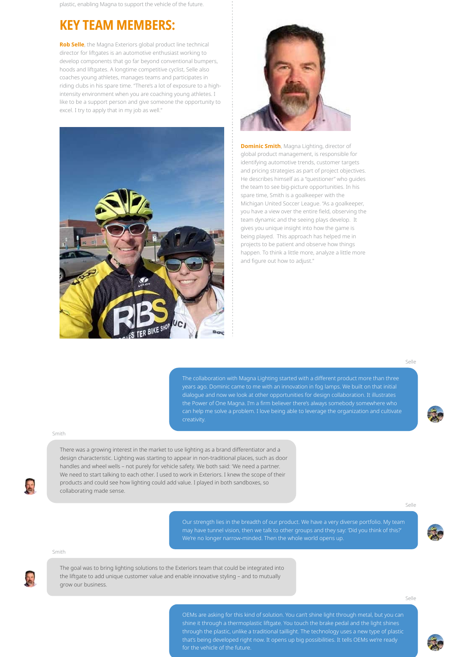plastic, enabling Magna to support the vehicle of the future.

# **KEY TEAM MEMBERS:**

Rob Selle, the Magna Exteriors global product line technical director for liftgates is an automotive enthusiast working to develop components that go far beyond conventional bumpers, hoods and liftgates. A longtime competitive cyclist, Selle also coaches young athletes, manages teams and participates in riding clubs in his spare time. "There's a lot of exposure to a highintensity environment when you are coaching young athletes. I like to be a support person and give someone the opportunity to excel. I try to apply that in my job as well."





**Dominic Smith**, Magna Lighting, director of global product management, is responsible for identifying automotive trends, customer targets and pricing strategies as part of project objectives. He describes himself as a "questioner" who quides the team to see big-picture opportunities. In his spare time, Smith is a goalkeeper with the Michigan United Soccer League. "As a goalkeeper, you have a view over the entire field, observing the team dynamic and the seeing plays develop. It gives you unique insight into how the game is being played. This approach has helped me in projects to be patient and observe how things happen. To think a little more, analyze a little more and figure out how to adjust."

 $S_{\rho}||_{\rho}$ 

The collaboration with Magna Lighting started with a different product more than three can help me solve a problem. I love being able to leverage the organization and cultivate

## Smith

There was a growing interest in the market to use lighting as a brand differentiator and a design characteristic. Lighting was starting to appear in non-traditional places, such as door handles and wheel wells - not purely for vehicle safety. We both said: 'We need a partner. We need to start talking to each other. I used to work in Exteriors. I knew the scope of their products and could see how lighting could add value. I played in both sandboxes, so collaborating made sense.

 $S = |a|$ 





The goal was to bring lighting solutions to the Exteriors team that could be integrated into the liftgate to add unique customer value and enable innovative styling - and to mutually grow our business.

 $S_{\rho}||_{\rho}$ 

OEMs are asking for this kind of solution. You can't shine light through metal, but you can for the vehicle of the future.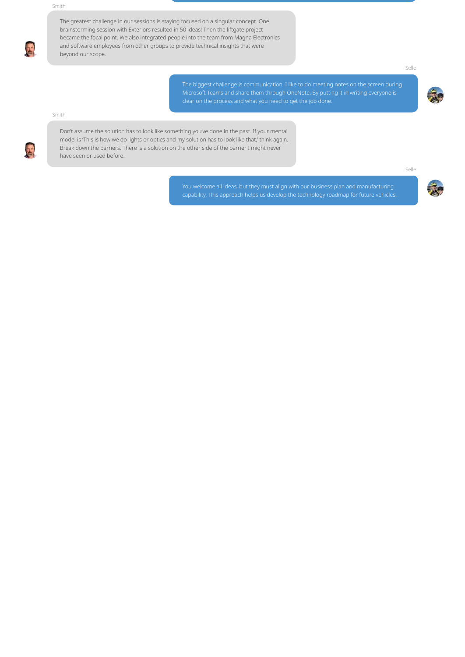The greatest challenge in our sessions is staying focused on a singular concept. One brainstorming session with Exteriors resulted in 50 ideas! Then the liftgate project became the focal point. We also integrated people into the team from Magna Electronics and software employees from other groups to provide technical insights that were beyond our scope.

Selle

The biggest challenge is communication. I like to do meeting notes on the screen during

# Smith

Don't assume the solution has to look like something you've done in the past. If your mental model is 'This is how we do lights or optics and my solution has to look like that,' think again. Break down the barriers. There is a solution on the other side of the barrier I might never have seen or used before.

 $S_{\rho}||_{\rho}$ 

You welcome all ideas, but they must align with our business plan and manufacturing capability. This approach helps us develop the technology roadmap for future vehicles.